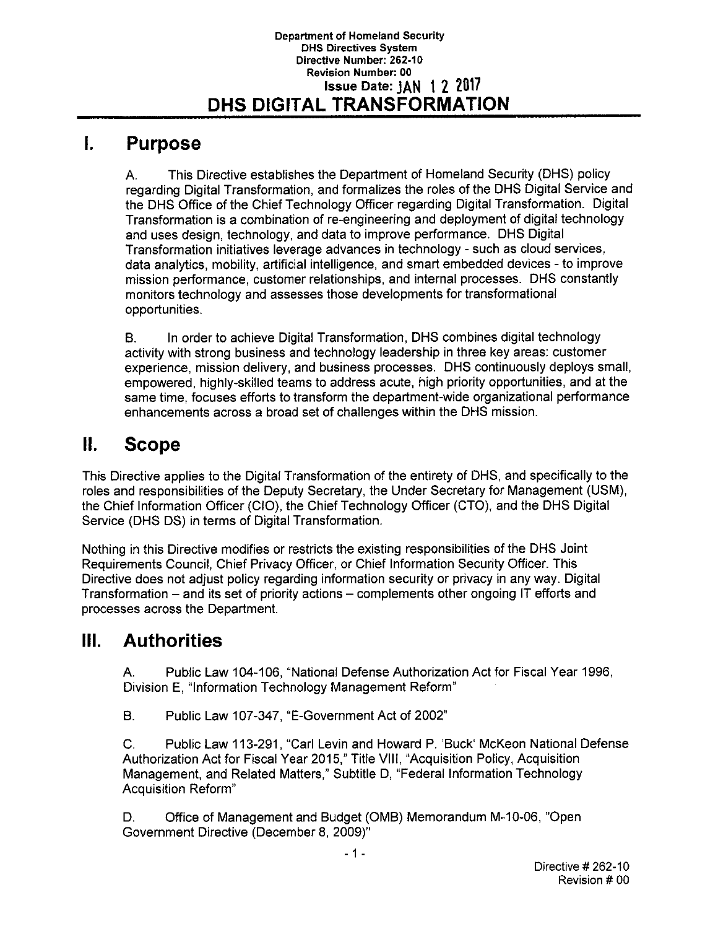## **I. Purpose**

A. This Directive establishes the Department of Homeland Security (DHS) policy regarding Digital Transformation, and formalizes the roles of the DHS Digital Service and the DHS Office of the Chief Technology Officer regarding Digital Transformation. Digital Transformation is a combination of re-engineering and deployment of digital technology and uses design, technology, and data to improve performance. DHS Digital Transformation initiatives leverage advances in technology - such as cloud services, data analytics, mobility, artificial intelligence, and smart embedded devices - to improve mission performance, customer relationships, and internal processes. DHS constantly monitors technology and assesses those developments for transformational opportunities.

B. In order to achieve Digital Transformation, DHS combines digital technology activity with strong business and technology leadership in three key areas: customer experience, mission delivery, and business processes. DHS continuously deploys small, empowered, highly-skilled teams to address acute, high priority opportunities, and at the same time, focuses efforts to transform the department-wide organizational performance enhancements across a broad set of challenges within the DHS mission.

# **II. Scope**

This Directive applies to the Digital Transformation of the entirety of DHS, and specifically to the roles and responsibilities of the Deputy Secretary, the Under Secretary for Management (USM}, the Chief Information Officer (CIO), the Chief Technology Officer (CTO), and the DHS Digital Service (DHS DS) in terms of Digital Transformation.

Nothing in this Directive modifies or restricts the existing responsibilities of the DHS Joint Requirements Council, Chief Privacy Officer, or Chief Information Security Officer. This Directive does not adjust policy regarding information security or privacy in any way. Digital Transformation - and its set of priority actions - complements other ongoing IT efforts and processes across the Department.

# **Ill. Authorities**

A. Public Law 104-106, "National Defense Authorization Act for Fiscal Year 1996, Division E, "Information Technology Management Reform"

B. Public Law 107-347, "E-Government Act of 2002"

C. Public Law 113-291, "Carl Levin and Howard P. 'Buck' McKeon National Defense Authorization Act for Fiscal Year 2015," Title VIII, "Acquisition Policy, Acquisition Management, and Related Matters," Subtitle D, "Federal Information Technology Acquisition Reform"

D. Office of Management and Budget (0MB) Memorandum M-10-06, "Open Government Directive (December 8, 2009)"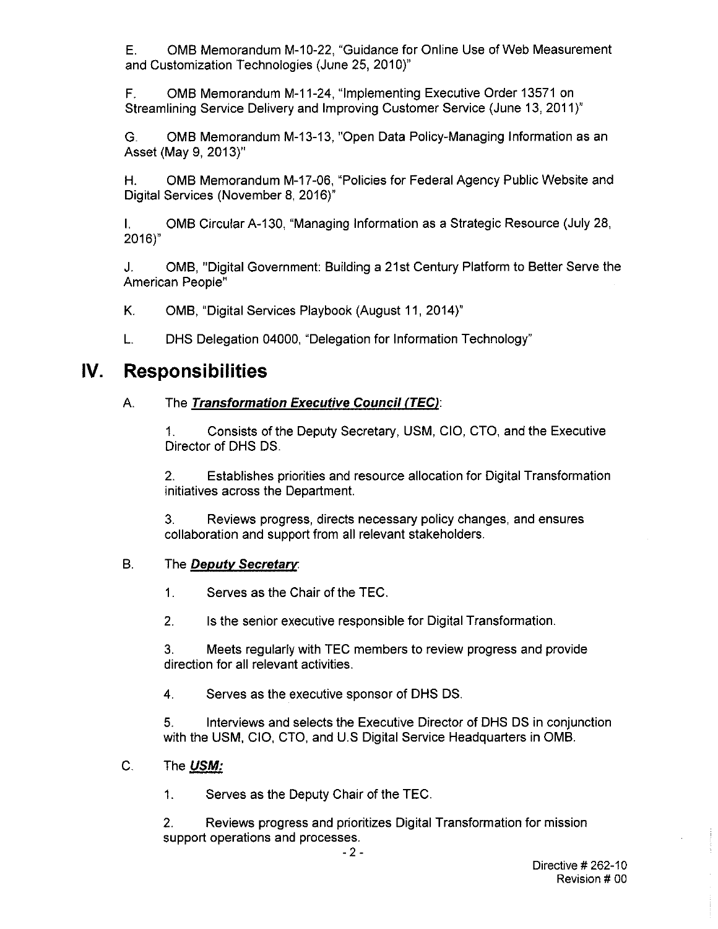E. 0MB Memorandum M-10-22, "Guidance for Online Use of Web Measurement and Customization Technologies (June 25, 2010)"

F. 0MB Memorandum M-11-24, "Implementing Executive Order 13571 on Streamlining Service Delivery and Improving Customer Service (June 13, 2011)"

G. 0MB Memorandum M-13-13, "Open Data Policy-Managing Information as an Asset (May 9, 2013)"

H. 0MB Memorandum M-17-06, "Policies for Federal Agency Public Website and Digital Services (November 8, 2016)"

I. OMB Circular A-130, "Managing Information as a Strategic Resource (July 28, 2016)"

J. 0MB, "Digital Government: Building a 21st Century Platform to Better Serve the American People"

K. 0MB, "Digital Services Playbook (August 11, 2014)"

L. DHS Delegation 04000, "Delegation for Information Technology"

# **IV. Responsibilities**

## A. The **Transformation Executive Council (TEC/:**

1. Consists of the Deputy Secretary, USM, CIO, CTO, and the Executive Director of DHS DS.

2. Establishes priorities and resource allocation for Digital Transformation initiatives across the Department.

3. Reviews progress, directs necessary policy changes, and ensures collaboration and support from all relevant stakeholders.

## B. The **Deputy Secretary:**

1. Serves as the Chair of the TEC.

2. Is the senior executive responsible for Digital Transformation.

3. Meets regularly with TEC members to review progress and provide direction for all relevant activities.

4. Serves as the executive sponsor of DHS DS.

5. Interviews and selects the Executive Director of DHS DS in conjunction with the USM, CIO, CTO, and U.S Digital Service Headquarters in 0MB.

## C. The **USM:**

1. Serves as the Deputy Chair of the TEC.

2. Reviews progress and prioritizes Digital Transformation for mission support operations and processes.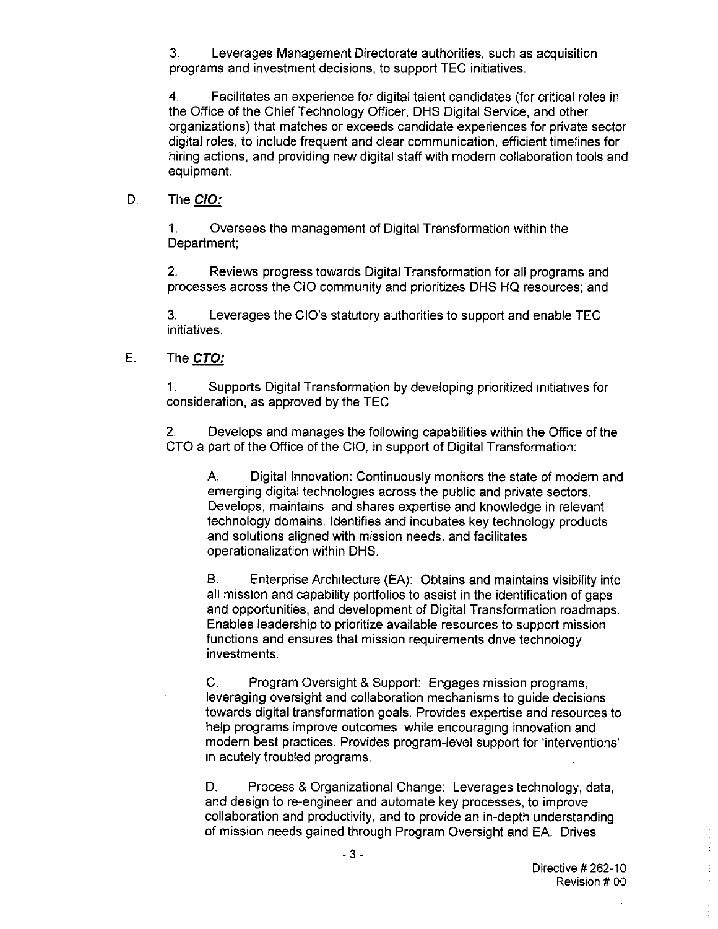3. Leverages Management Directorate authorities, such as acquisition programs and investment decisions, to support TEC initiatives.

4. Facilitates an experience for digital talent candidates (for critical roles in the Office of the Chief Technology Officer, OHS Digital Service, and other organizations) that matches or exceeds candidate experiences for private sector digital roles, to include frequent and clear communication, efficient timelines for hiring actions, and providing new digital staff with modern collaboration tools and equipment.

#### D. The **CIO:**

1. Oversees the management of Digital Transformation within the Department;

2. Reviews progress towards Digital Transformation for all programs and processes across the CIO community and prioritizes OHS HQ resources; and

3. Leverages the CIO's statutory authorities to support and enable TEC initiatives.

#### E. The **CTO:**

1. Supports Digital Transformation by developing prioritized initiatives for consideration, as approved by the TEC.

2. Develops and manages the following capabilities within the Office of the CTO a part of the Office of the CIO, in support of Digital Transformation:

A. Digital Innovation: Continuously monitors the state of modern and emerging digital technologies across the public and private sectors. Develops, maintains, and shares expertise and knowledge in relevant technology domains. Identifies and incubates key technology products and solutions aligned with mission needs, and facilitates operationalization within OHS.

B. Enterprise Architecture (EA): Obtains and maintains visibility into all mission and capability portfolios to assist in the identification of gaps and opportunities, and development of Digital Transformation roadmaps. Enables leadership to prioritize available resources to support mission functions and ensures that mission requirements drive technology investments.

C. Program Oversight & Support: Engages mission programs, leveraging oversight and collaboration mechanisms to guide decisions towards digital transformation goals. Provides expertise and resources to help programs improve outcomes, while encouraging innovation and modern best practices. Provides program-level support for 'interventions' in acutely troubled programs.

D. Process & Organizational Change: Leverages technology, data, and design to re-engineer and automate key processes, to improve collaboration and productivity, and to provide an in-depth understanding of mission needs gained through Program Oversight and EA. Drives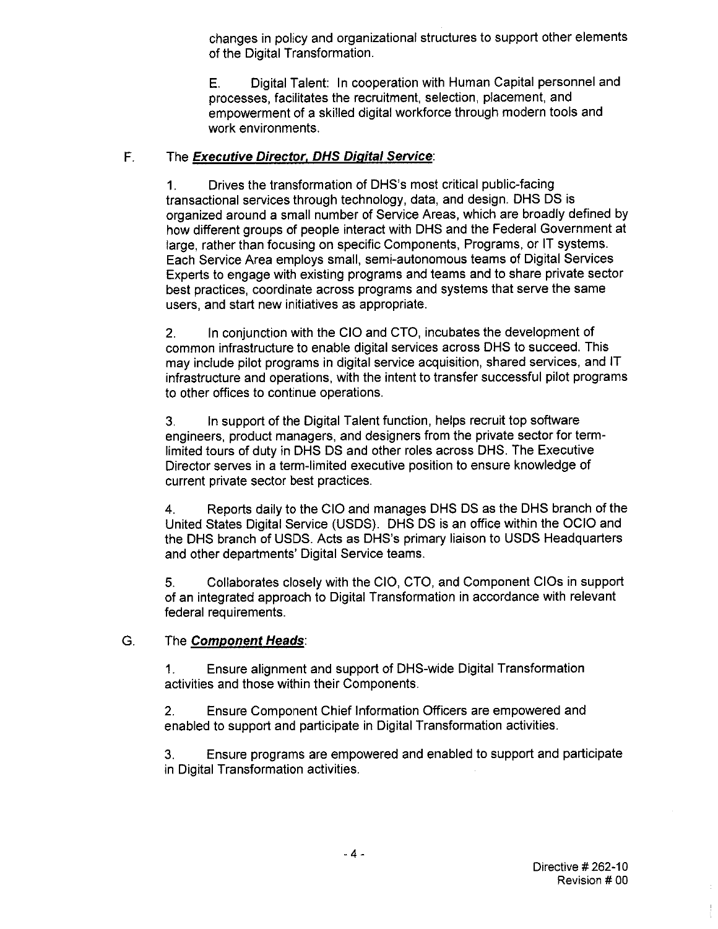changes in policy and organizational structures to support other elements of the Digital Transformation.

E. Digital Talent: In cooperation with Human Capital personnel and processes, facilitates the recruitment, selection, placement, and empowerment of a skilled digital workforce through modern tools and work environments.

## F. The **Executive Director, DHS Digital Service:**

1. Drives the transformation of DHS's most critical public-facing transactional services through technology, data, and design. OHS OS is organized around a small number of Service Areas, which are broadly defined by how different groups of people interact with OHS and the Federal Government at large, rather than focusing on specific Components, Programs, or IT systems. Each Service Area employs small, semi-autonomous teams of Digital Services Experts to engage with existing programs and teams and to share private sector best practices, coordinate across programs and systems that serve the same users, and start new initiatives as appropriate.

2. In conjunction with the CIO and CTO, incubates the development of common infrastructure to enable digital services across OHS to succeed. This may include pilot programs in digital service acquisition, shared services, and IT infrastructure and operations, with the intent to transfer successful pilot programs to other offices to continue operations.

3. In support of the Digital Talent function, helps recruit top software engineers, product managers, and designers from the private sector for termlimited tours of duty in OHS DS and other roles across OHS. The Executive Director serves in a term-limited executive position to ensure knowledge of current private sector best practices.

4. Reports daily to the CIO and manages OHS DS as the OHS branch of the United States Digital Service (USDS). OHS OS is an office within the OCIO and the OHS branch of USDS. Acts as DHS's primary liaison to USDS Headquarters and other departments' Digital Service teams.

5. Collaborates closely with the CIO, CTO, and Component CIOs in support of an integrated approach to Digital Transformation in accordance with relevant federal requirements.

### G. The **Component Heads:**

1. Ensure alignment and support of OHS-wide Digital Transformation activities and those within their Components.

2. Ensure Component Chief Information Officers are empowered and enabled to support and participate in Digital Transformation activities.

3. Ensure programs are empowered and enabled to support and participate in Digital Transformation activities.